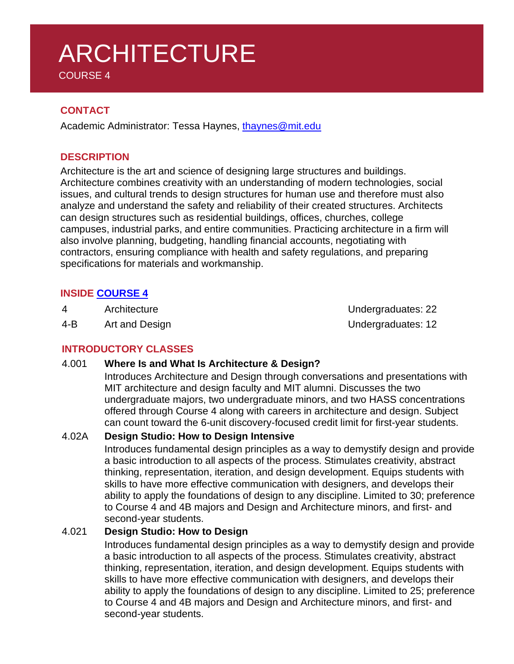# ARCHITECTURE COURSE 4

**CONTACT**

Academic Administrator: Tessa Haynes, [thaynes@mit.edu](mailto:thaynes@mit.edu)

### **DESCRIPTION**

Architecture is the art and science of designing large structures and buildings. Architecture combines creativity with an understanding of modern technologies, social issues, and cultural trends to design structures for human use and therefore must also analyze and understand the safety and reliability of their created structures. Architects can design structures such as residential buildings, offices, churches, college campuses, industrial parks, and entire communities. Practicing architecture in a firm will also involve planning, budgeting, handling financial accounts, negotiating with contractors, ensuring compliance with health and safety regulations, and preparing specifications for materials and workmanship.

### **INSIDE [COURSE](https://architecture.mit.edu/overview/undergraduate-degrees) 4**

4 Architecture **Architecture** Architecture **Undergraduates:** 22

4-B Art and Design Article Contract Contract Contract Contract Contract Contract Contract Contract Contract Contract Contract Contract Contract Contract Contract Contract Contract Contract Contract Contract Contract Contra

### **INTRODUCTORY CLASSES**

#### 4.001 **Where Is and What Is Architecture & Design?**

Introduces Architecture and Design through conversations and presentations with MIT architecture and design faculty and MIT alumni. Discusses the two undergraduate majors, two undergraduate minors, and two HASS concentrations offered through Course 4 along with careers in architecture and design. Subject can count toward the 6-unit discovery-focused credit limit for first-year students.

### 4.02A **Design Studio: How to Design Intensive**

Introduces fundamental design principles as a way to demystify design and provide a basic introduction to all aspects of the process. Stimulates creativity, abstract thinking, representation, iteration, and design development. Equips students with skills to have more effective communication with designers, and develops their ability to apply the foundations of design to any discipline. Limited to 30; preference to Course 4 and 4B majors and Design and Architecture minors, and first- and second-year students.

### 4.021 **Design Studio: How to Design**

Introduces fundamental design principles as a way to demystify design and provide a basic introduction to all aspects of the process. Stimulates creativity, abstract thinking, representation, iteration, and design development. Equips students with skills to have more effective communication with designers, and develops their ability to apply the foundations of design to any discipline. Limited to 25; preference to Course 4 and 4B majors and Design and Architecture minors, and first- and second-year students.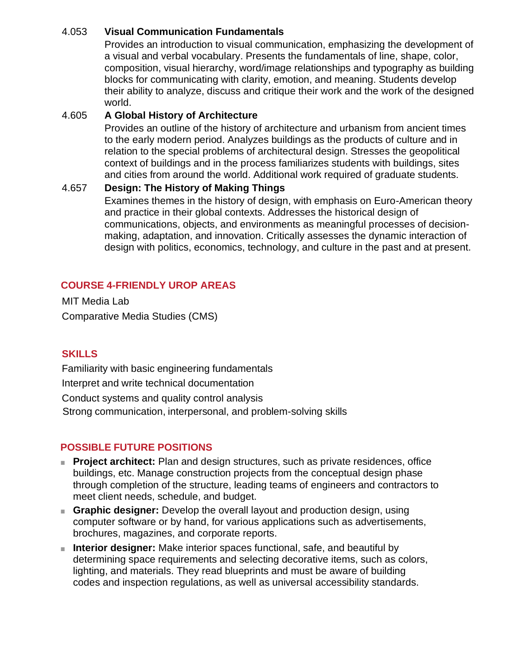#### 4.053 **Visual Communication Fundamentals**

Provides an introduction to visual communication, emphasizing the development of a visual and verbal vocabulary. Presents the fundamentals of line, shape, color, composition, visual hierarchy, word/image relationships and typography as building blocks for communicating with clarity, emotion, and meaning. Students develop their ability to analyze, discuss and critique their work and the work of the designed world.

#### 4.605 **A Global History of Architecture**

Provides an outline of the history of architecture and urbanism from ancient times to the early modern period. Analyzes buildings as the products of culture and in relation to the special problems of architectural design. Stresses the geopolitical context of buildings and in the process familiarizes students with buildings, sites and cities from around the world. Additional work required of graduate students.

#### 4.657 **Design: The History of Making Things**

Examines themes in the history of design, with emphasis on Euro-American theory and practice in their global contexts. Addresses the historical design of communications, objects, and environments as meaningful processes of decisionmaking, adaptation, and innovation. Critically assesses the dynamic interaction of design with politics, economics, technology, and culture in the past and at present.

## **COURSE 4-FRIENDLY UROP AREAS**

MIT Media Lab Comparative Media Studies (CMS)

### **SKILLS**

Familiarity with basic engineering fundamentals Interpret and write technical documentation

Conduct systems and quality control analysis Strong communication, interpersonal, and problem-solving skills

### **POSSIBLE FUTURE POSITIONS**

- **Project architect:** Plan and design structures, such as private residences, office buildings, etc. Manage construction projects from the conceptual design phase through completion of the structure, leading teams of engineers and contractors to meet client needs, schedule, and budget.
- **Graphic designer:** Develop the overall layout and production design, using computer software or by hand, for various applications such as advertisements, brochures, magazines, and corporate reports.
- **Interior designer:** Make interior spaces functional, safe, and beautiful by determining space requirements and selecting decorative items, such as colors, lighting, and materials. They read blueprints and must be aware of building codes and inspection regulations, as well as universal accessibility standards.